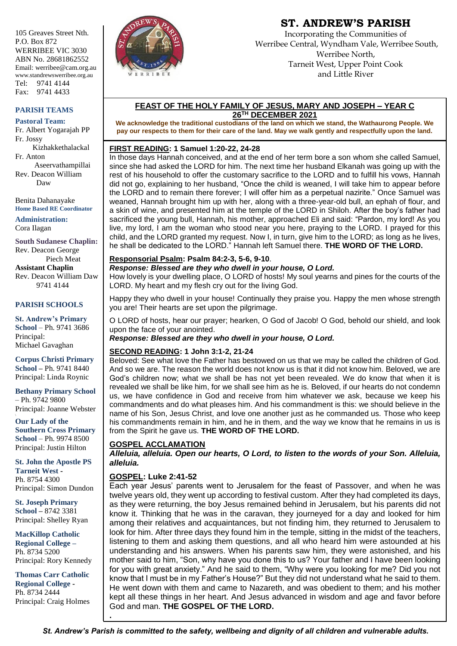105 Greaves Street Nth. P.O. Box 872 WERRIBEE VIC 3030 ABN No. 28681862552 Email: werribee@cam.org.au www.standrewswerribee.org.au Tel: 9741 4144 Fax: 9741 4433

### **PARISH TEAMS**

**Pastoral Team:**

Fr. Albert Yogarajah PP Fr. Jossy Kizhakkethalackal Fr. Anton Aseervathampillai Rev. Deacon William Daw

Benita Dahanayake **Home Based RE Coordinator**

**Administration:** Cora Ilagan

**South Sudanese Chaplin:** Rev. Deacon George Piech Meat **Assistant Chaplin** Rev. Deacon William Daw 9741 4144

### **PARISH SCHOOLS**

**St. Andrew's Primary School** – Ph. 9741 3686 Principal: Michael Gavaghan

**Corpus Christi Primary School –** Ph. 9741 8440 Principal: Linda Roynic

**Bethany Primary School** – Ph. 9742 9800 Principal: Joanne Webster

**Our Lady of the Southern Cross Primary School** – Ph. 9974 8500 Principal: Justin Hilton

**St. John the Apostle PS Tarneit West -** Ph. 8754 4300 Principal: Simon Dundon

**St. Joseph Primary School –** 8742 3381 Principal: Shelley Ryan

**MacKillop Catholic Regional College –** Ph. 8734 5200 Principal: Rory Kennedy

**Thomas Carr Catholic Regional College -** Ph. 8734 2444 Principal: Craig Holmes

**.**



# **ST. ANDREW'S PARISH**

Incorporating the Communities of Werribee Central, Wyndham Vale, Werribee South, Werribee North, Tarneit West, Upper Point Cook and Little River

## **FEAST OF THE HOLY FAMILY OF JESUS, MARY AND JOSEPH – YEAR C 26TH DECEMBER 2021**

**We acknowledge the traditional custodians of the land on which we stand, the Wathaurong People. We pay our respects to them for their care of the land. May we walk gently and respectfully upon the land.**

## **FIRST READING: 1 Samuel 1:20-22, 24-28**

In those days Hannah conceived, and at the end of her term bore a son whom she called Samuel, since she had asked the LORD for him. The next time her husband Elkanah was going up with the rest of his household to offer the customary sacrifice to the LORD and to fulfill his vows, Hannah did not go, explaining to her husband, "Once the child is weaned, I will take him to appear before the LORD and to remain there forever; I will offer him as a perpetual nazirite." Once Samuel was weaned, Hannah brought him up with her, along with a three-year-old bull, an ephah of flour, and a skin of wine, and presented him at the temple of the LORD in Shiloh. After the boy's father had sacrificed the young bull, Hannah, his mother, approached Eli and said: "Pardon, my lord! As you live, my lord, I am the woman who stood near you here, praying to the LORD. I prayed for this child, and the LORD granted my request. Now I, in turn, give him to the LORD; as long as he lives, he shall be dedicated to the LORD." Hannah left Samuel there. **THE WORD OF THE LORD.**

### **Responsorial Psalm: Psalm 84:2-3, 5-6, 9-10**.

### *Response: Blessed are they who dwell in your house, O Lord.*

How lovely is your dwelling place, O LORD of hosts! My soul yearns and pines for the courts of the LORD. My heart and my flesh cry out for the living God.

Happy they who dwell in your house! Continually they praise you. Happy the men whose strength you are! Their hearts are set upon the pilgrimage.

O LORD of hosts, hear our prayer; hearken, O God of Jacob! O God, behold our shield, and look upon the face of your anointed.

*Response: Blessed are they who dwell in your house, O Lord.*

### **SECOND READING: 1 John 3:1-2, 21-24**

Beloved: See what love the Father has bestowed on us that we may be called the children of God. And so we are. The reason the world does not know us is that it did not know him. Beloved, we are God's children now; what we shall be has not yet been revealed. We do know that when it is revealed we shall be like him, for we shall see him as he is. Beloved, if our hearts do not condemn us, we have confidence in God and receive from him whatever we ask, because we keep his commandments and do what pleases him. And his commandment is this: we should believe in the name of his Son, Jesus Christ, and love one another just as he commanded us. Those who keep his commandments remain in him, and he in them, and the way we know that he remains in us is from the Spirit he gave us. **THE WORD OF THE LORD.**

### **GOSPEL ACCLAMATION**

*Alleluia, alleluia. Open our hearts, O Lord, to listen to the words of your Son. Alleluia, alleluia.*

### **GOSPEL: Luke 2:41-52**

Each year Jesus' parents went to Jerusalem for the feast of Passover, and when he was twelve years old, they went up according to festival custom. After they had completed its days, as they were returning, the boy Jesus remained behind in Jerusalem, but his parents did not know it. Thinking that he was in the caravan, they journeyed for a day and looked for him among their relatives and acquaintances, but not finding him, they returned to Jerusalem to look for him. After three days they found him in the temple, sitting in the midst of the teachers, listening to them and asking them questions, and all who heard him were astounded at his understanding and his answers. When his parents saw him, they were astonished, and his mother said to him, "Son, why have you done this to us? Your father and I have been looking for you with great anxiety." And he said to them, "Why were you looking for me? Did you not know that I must be in my Father's House?" But they did not understand what he said to them. He went down with them and came to Nazareth, and was obedient to them; and his mother kept all these things in her heart. And Jesus advanced in wisdom and age and favor before God and man. **THE GOSPEL OF THE LORD.**

*St. Andrew's Parish is committed to the safety, wellbeing and dignity of all children and vulnerable adults.*